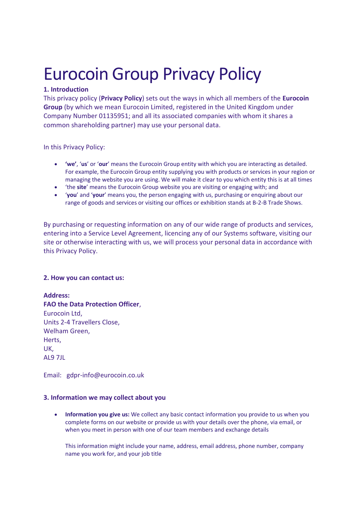# Eurocoin Group Privacy Policy

# **1. Introduction**

This privacy policy (**Privacy Policy**) sets out the ways in which all members of the **Eurocoin Group** (by which we mean Eurocoin Limited, registered in the United Kingdom under Company Number 01135951; and all its associated companies with whom it shares a common shareholding partner) may use your personal data.

In this Privacy Policy:

- **'we'**, '**us**' or '**our**' means the Eurocoin Group entity with which you are interacting as detailed. For example, the Eurocoin Group entity supplying you with products or services in your region or managing the website you are using. We will make it clear to you which entity this is at all times
- 'the **site**' means the Eurocoin Group website you are visiting or engaging with; and
- '**you**' and '**your**' means you, the person engaging with us, purchasing or enquiring about our range of goods and services or visiting our offices or exhibition stands at B-2-B Trade Shows.

By purchasing or requesting information on any of our wide range of products and services, entering into a Service Level Agreement, licencing any of our Systems software, visiting our site or otherwise interacting with us, we will process your personal data in accordance with this Privacy Policy.

# **2. How you can contact us:**

# **Address:**

**FAO the Data Protection Officer**, Eurocoin Ltd, Units 2-4 Travellers Close, Welham Green, Herts, UK, AL9 7JL

Email: gdpr-info@eurocoin.co.uk

# **3. Information we may collect about you**

• **Information you give us:** We collect any basic contact information you provide to us when you complete forms on our website or provide us with your details over the phone, via email, or when you meet in person with one of our team members and exchange details

This information might include your name, address, email address, phone number, company name you work for, and your job title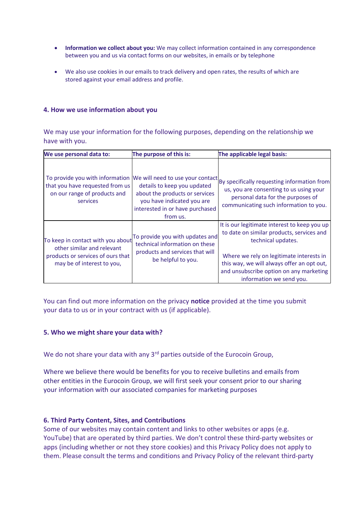- **Information we collect about you:** We may collect information contained in any correspondence between you and us via contact forms on our websites, in emails or by telephone
- We also use cookies in our emails to track delivery and open rates, the results of which are stored against your email address and profile.

#### **4. How we use information about you**

We may use your information for the following purposes, depending on the relationship we have with you.

| We use personal data to:                                                                                                           | The purpose of this is:                                                                                                                    | The applicable legal basis:                                                                                                                                                                                                                                                      |
|------------------------------------------------------------------------------------------------------------------------------------|--------------------------------------------------------------------------------------------------------------------------------------------|----------------------------------------------------------------------------------------------------------------------------------------------------------------------------------------------------------------------------------------------------------------------------------|
| To provide you with information<br>that you have requested from us<br>on our range of products and<br>services                     | details to keep you updated<br>about the products or services<br>you have indicated you are<br>interested in or have purchased<br>from us. | We will need to use your contact By specifically requesting information from<br>us, you are consenting to us using your<br>personal data for the purposes of<br>communicating such information to you.                                                                           |
| To keep in contact with you about<br>other similar and relevant<br>products or services of ours that<br>may be of interest to you, | To provide you with updates and<br>technical information on these<br>products and services that will<br>be helpful to you.                 | It is our legitimate interest to keep you up<br>to date on similar products, services and<br>technical updates.<br>Where we rely on legitimate interests in<br>this way, we will always offer an opt out,<br>and unsubscribe option on any marketing<br>information we send you. |

You can find out more information on the privacy **notice** provided at the time you submit your data to us or in your contract with us (if applicable).

#### **5. Who we might share your data with?**

We do not share your data with any 3<sup>rd</sup> parties outside of the Eurocoin Group,

Where we believe there would be benefits for you to receive bulletins and emails from other entities in the Eurocoin Group, we will first seek your consent prior to our sharing your information with our associated companies for marketing purposes

#### **6. Third Party Content, Sites, and Contributions**

Some of our websites may contain content and links to other websites or apps (e.g. YouTube) that are operated by third parties. We don't control these third-party websites or apps (including whether or not they store cookies) and this Privacy Policy does not apply to them. Please consult the terms and conditions and Privacy Policy of the relevant third-party